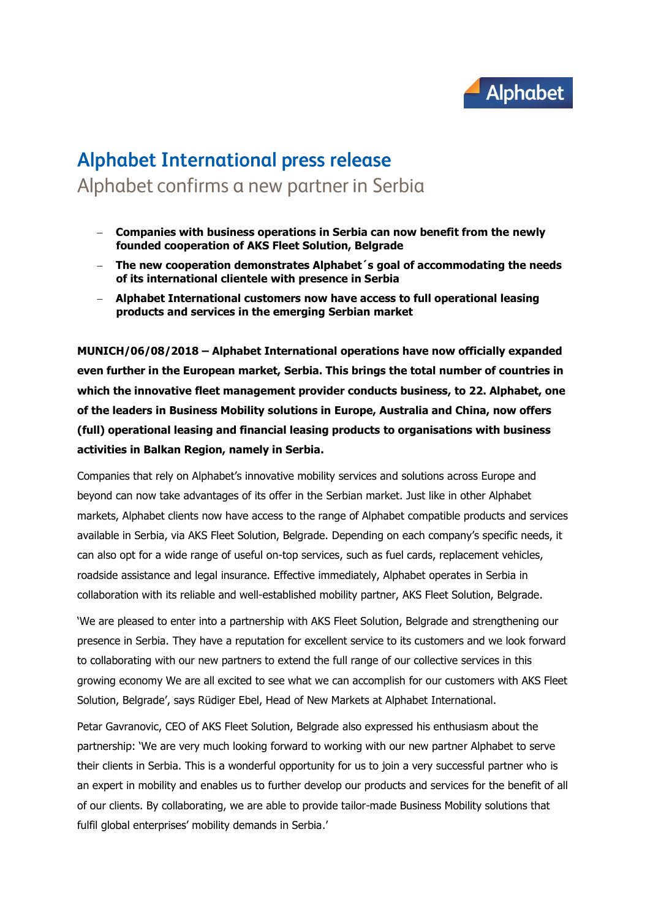

## **Alphabet International press release** Alphabet confirms a new partner in Serbia

- **Companies with business operations in Serbia can now benefit from the newly founded cooperation of AKS Fleet Solution, Belgrade**
- **The new cooperation demonstrates Alphabet´s goal of accommodating the needs of its international clientele with presence in Serbia**
- **Alphabet International customers now have access to full operational leasing products and services in the emerging Serbian market**

**MUNICH/06/08/2018 – Alphabet International operations have now officially expanded even further in the European market, Serbia. This brings the total number of countries in which the innovative fleet management provider conducts business, to 22. Alphabet, one of the leaders in Business Mobility solutions in Europe, Australia and China, now offers (full) operational leasing and financial leasing products to organisations with business activities in Balkan Region, namely in Serbia.** 

Companies that rely on Alphabet's innovative mobility services and solutions across Europe and beyond can now take advantages of its offer in the Serbian market. Just like in other Alphabet markets, Alphabet clients now have access to the range of Alphabet compatible products and services available in Serbia, via AKS Fleet Solution, Belgrade. Depending on each company's specific needs, it can also opt for a wide range of useful on-top services, such as fuel cards, replacement vehicles, roadside assistance and legal insurance. Effective immediately, Alphabet operates in Serbia in collaboration with its reliable and well-established mobility partner, AKS Fleet Solution, Belgrade.

'We are pleased to enter into a partnership with AKS Fleet Solution, Belgrade and strengthening our presence in Serbia. They have a reputation for excellent service to its customers and we look forward to collaborating with our new partners to extend the full range of our collective services in this growing economy We are all excited to see what we can accomplish for our customers with AKS Fleet Solution, Belgrade', says Rüdiger Ebel, Head of New Markets at Alphabet International.

Petar Gavranovic, CEO of AKS Fleet Solution, Belgrade also expressed his enthusiasm about the partnership: 'We are very much looking forward to working with our new partner Alphabet to serve their clients in Serbia. This is a wonderful opportunity for us to join a very successful partner who is an expert in mobility and enables us to further develop our products and services for the benefit of all of our clients. By collaborating, we are able to provide tailor-made Business Mobility solutions that fulfil global enterprises' mobility demands in Serbia.'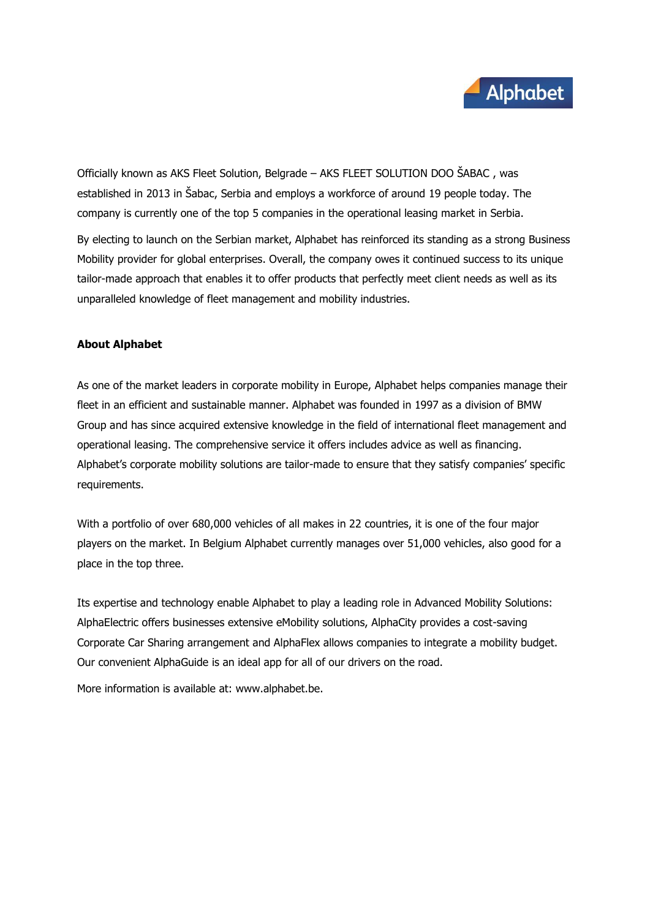

Officially known as AKS Fleet Solution, Belgrade – AKS FLEET SOLUTION DOO ŠABAC , was established in 2013 in Šabac, Serbia and employs a workforce of around 19 people today. The company is currently one of the top 5 companies in the operational leasing market in Serbia.

By electing to launch on the Serbian market, Alphabet has reinforced its standing as a strong Business Mobility provider for global enterprises. Overall, the company owes it continued success to its unique tailor-made approach that enables it to offer products that perfectly meet client needs as well as its unparalleled knowledge of fleet management and mobility industries.

## **About Alphabet**

As one of the market leaders in corporate mobility in Europe, Alphabet helps companies manage their fleet in an efficient and sustainable manner. Alphabet was founded in 1997 as a division of BMW Group and has since acquired extensive knowledge in the field of international fleet management and operational leasing. The comprehensive service it offers includes advice as well as financing. Alphabet's corporate mobility solutions are tailor-made to ensure that they satisfy companies' specific requirements.

With a portfolio of over 680,000 vehicles of all makes in 22 countries, it is one of the four major players on the market. In Belgium Alphabet currently manages over 51,000 vehicles, also good for a place in the top three.

Its expertise and technology enable Alphabet to play a leading role in Advanced Mobility Solutions: AlphaElectric offers businesses extensive eMobility solutions, AlphaCity provides a cost-saving Corporate Car Sharing arrangement and AlphaFlex allows companies to integrate a mobility budget. Our convenient AlphaGuide is an ideal app for all of our drivers on the road.

More information is available at: www.alphabet.be.